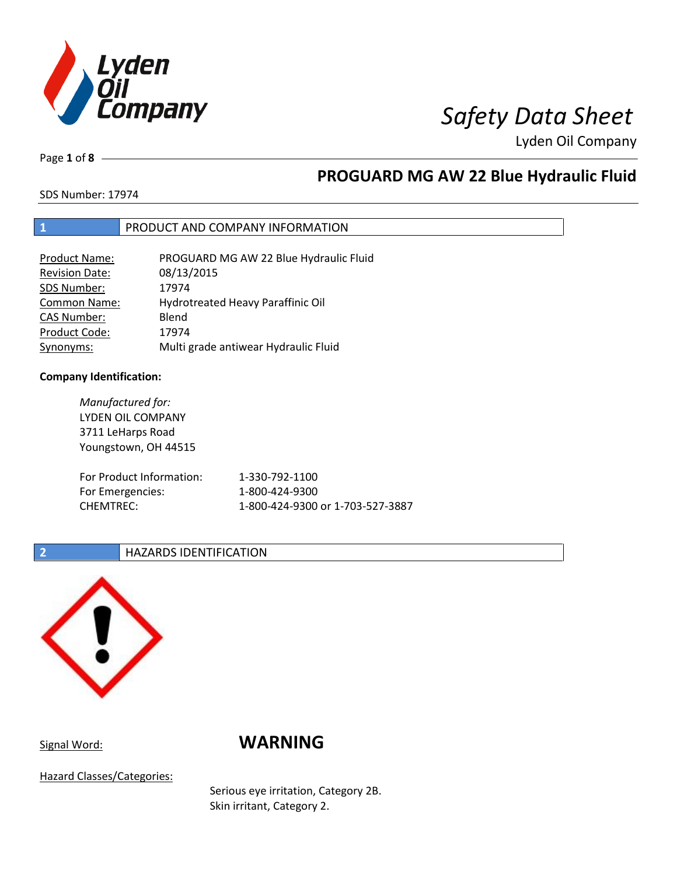

Page **1** of **8**

# **PROGUARD MG AW 22 Blue Hydraulic Fluid**

SDS Number: 17974

## **1** PRODUCT AND COMPANY INFORMATION

| <b>Product Name:</b>  | PROGUARD MG AW 22 Blue Hydraulic Fluid |
|-----------------------|----------------------------------------|
| <b>Revision Date:</b> | 08/13/2015                             |
| SDS Number:           | 17974                                  |
| Common Name:          | Hydrotreated Heavy Paraffinic Oil      |
| <b>CAS Number:</b>    | Blend                                  |
| Product Code:         | 17974                                  |
| Synonyms:             | Multi grade antiwear Hydraulic Fluid   |

## **Company Identification:**

*Manufactured for:* LYDEN OIL COMPANY 3711 LeHarps Road Youngstown, OH 44515 For Product Information: 1-330-792-1100 For Emergencies: 1-800-424-9300 CHEMTREC: 1-800-424-9300 or 1-703-527-3887

## **2 HAZARDS IDENTIFICATION**



# Signal Word: **WARNING**

Hazard Classes/Categories:

Serious eye irritation, Category 2B. Skin irritant, Category 2.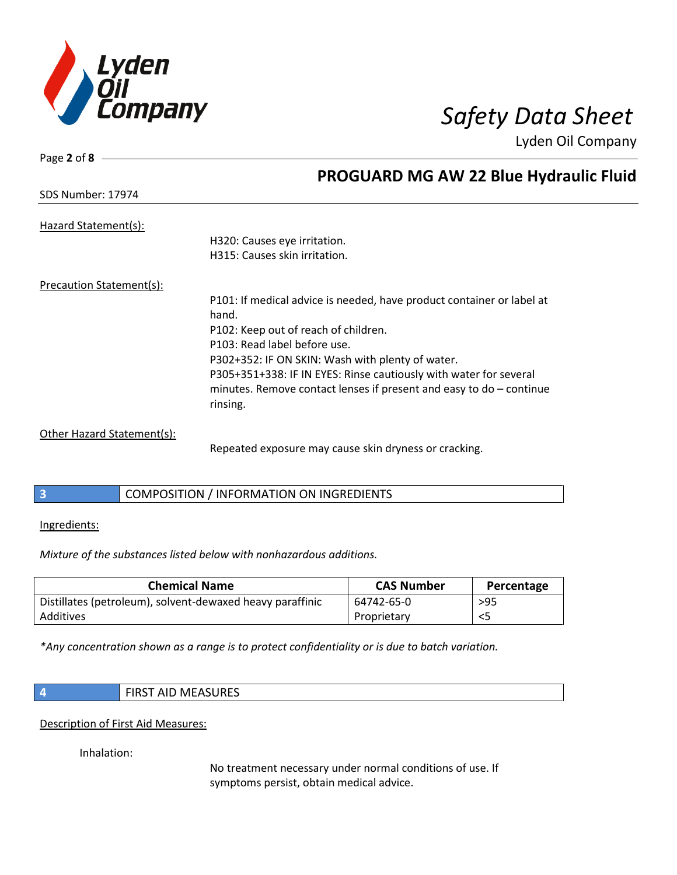

| Page 2 of 8                |                                                                                   |
|----------------------------|-----------------------------------------------------------------------------------|
|                            | <b>PROGUARD MG AW 22 Blue Hydraulic Fluid</b>                                     |
| <b>SDS Number: 17974</b>   |                                                                                   |
| Hazard Statement(s):       |                                                                                   |
|                            | H320: Causes eye irritation.                                                      |
|                            | H315: Causes skin irritation.                                                     |
| Precaution Statement(s):   |                                                                                   |
|                            | P101: If medical advice is needed, have product container or label at             |
|                            | hand.                                                                             |
|                            | P102: Keep out of reach of children.                                              |
|                            | P103: Read label before use.                                                      |
|                            | P302+352: IF ON SKIN: Wash with plenty of water.                                  |
|                            | P305+351+338: IF IN EYES: Rinse cautiously with water for several                 |
|                            | minutes. Remove contact lenses if present and easy to $do$ – continue<br>rinsing. |
|                            |                                                                                   |
| Other Hazard Statement(s): |                                                                                   |

Repeated exposure may cause skin dryness or cracking.

## **3** COMPOSITION / INFORMATION ON INGREDIENTS

## Ingredients:

*Mixture of the substances listed below with nonhazardous additions.*

| <b>Chemical Name</b>                                      | <b>CAS Number</b> | Percentage |
|-----------------------------------------------------------|-------------------|------------|
| Distillates (petroleum), solvent-dewaxed heavy paraffinic | 64742-65-0        | >95        |
| Additives                                                 | Proprietary       |            |

*\*Any concentration shown as a range is to protect confidentiality or is due to batch variation.*

| <b>FIRST AID MEASURES</b> |
|---------------------------|
|---------------------------|

Description of First Aid Measures:

Inhalation:

No treatment necessary under normal conditions of use. If symptoms persist, obtain medical advice.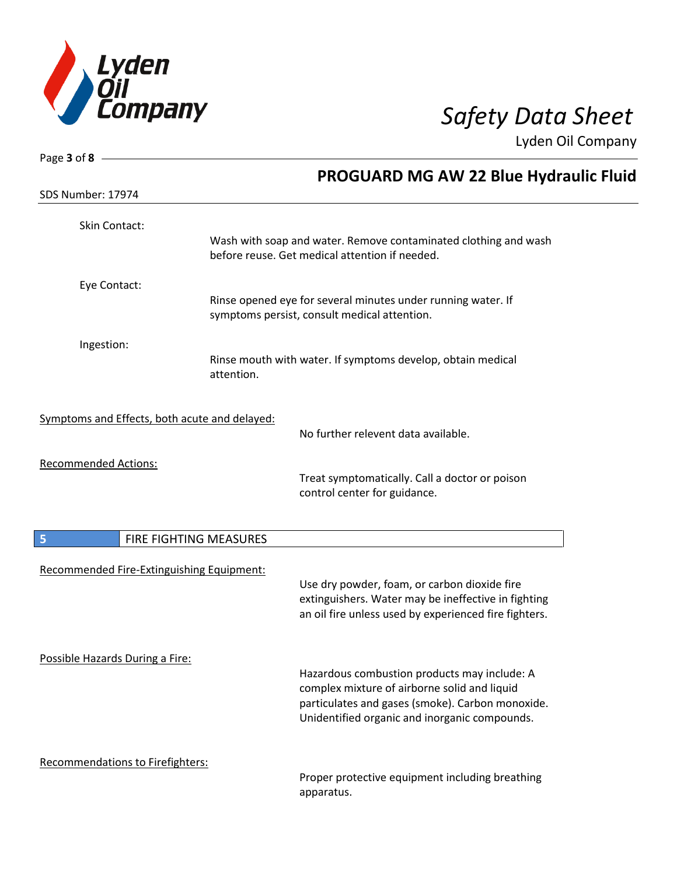

| Page $3$ of $8$ -                             |                        |                                                                                                                                                                                                   |
|-----------------------------------------------|------------------------|---------------------------------------------------------------------------------------------------------------------------------------------------------------------------------------------------|
| SDS Number: 17974                             |                        | <b>PROGUARD MG AW 22 Blue Hydraulic Fluid</b>                                                                                                                                                     |
| <b>Skin Contact:</b>                          |                        | Wash with soap and water. Remove contaminated clothing and wash<br>before reuse. Get medical attention if needed.                                                                                 |
| Eye Contact:                                  |                        | Rinse opened eye for several minutes under running water. If<br>symptoms persist, consult medical attention.                                                                                      |
| Ingestion:                                    | attention.             | Rinse mouth with water. If symptoms develop, obtain medical                                                                                                                                       |
| Symptoms and Effects, both acute and delayed: |                        | No further relevent data available.                                                                                                                                                               |
| <b>Recommended Actions:</b>                   |                        | Treat symptomatically. Call a doctor or poison<br>control center for guidance.                                                                                                                    |
| 5                                             | FIRE FIGHTING MEASURES |                                                                                                                                                                                                   |
| Recommended Fire-Extinguishing Equipment:     |                        | Use dry powder, foam, or carbon dioxide fire<br>extinguishers. Water may be ineffective in fighting<br>an oil fire unless used by experienced fire fighters.                                      |
| Possible Hazards During a Fire:               |                        | Hazardous combustion products may include: A<br>complex mixture of airborne solid and liquid<br>particulates and gases (smoke). Carbon monoxide.<br>Unidentified organic and inorganic compounds. |
| Recommendations to Firefighters:              |                        | Proper protective equipment including breathing<br>apparatus.                                                                                                                                     |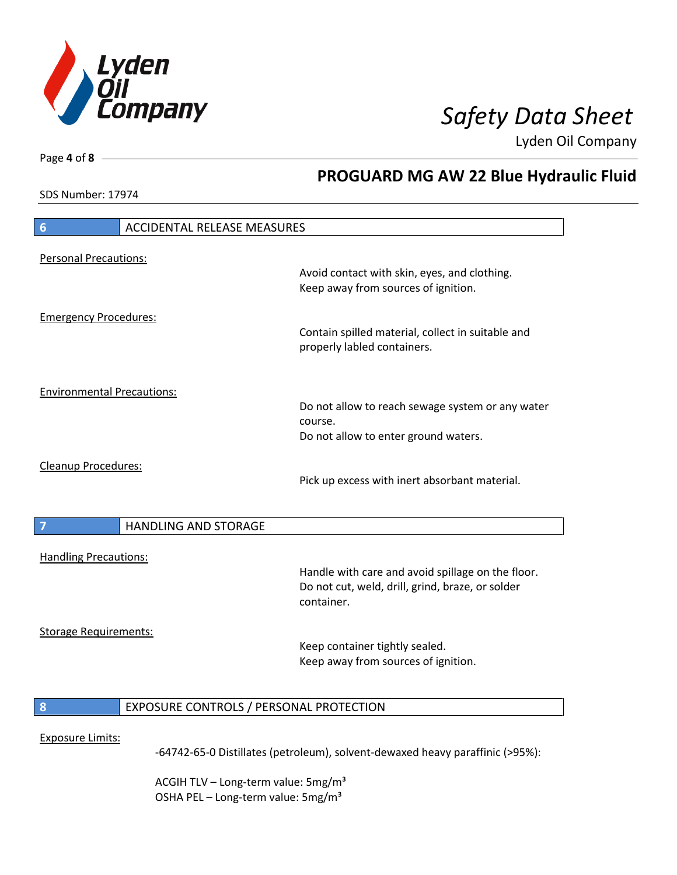

**PROGUARD MG AW 22 Blue Hydraulic Fluid**

Lyden Oil Company

SDS Number: 17974

Page **4** of **8**

# **6** ACCIDENTAL RELEASE MEASURES Personal Precautions: Avoid contact with skin, eyes, and clothing. Keep away from sources of ignition. Emergency Procedures: Contain spilled material, collect in suitable and properly labled containers. Environmental Precautions: Do not allow to reach sewage system or any water course. Do not allow to enter ground waters. Cleanup Procedures: Pick up excess with inert absorbant material. **7 HANDLING AND STORAGE** Handling Precautions: Handle with care and avoid spillage on the floor. Do not cut, weld, drill, grind, braze, or solder container. Storage Requirements: Keep container tightly sealed. Keep away from sources of ignition. **8** EXPOSURE CONTROLS / PERSONAL PROTECTION Exposure Limits: -64742-65-0 Distillates (petroleum), solvent-dewaxed heavy paraffinic (>95%):

ACGIH TLV – Long-term value:  $5\,\text{mg/m}^3$ OSHA PEL - Long-term value: 5mg/m<sup>3</sup>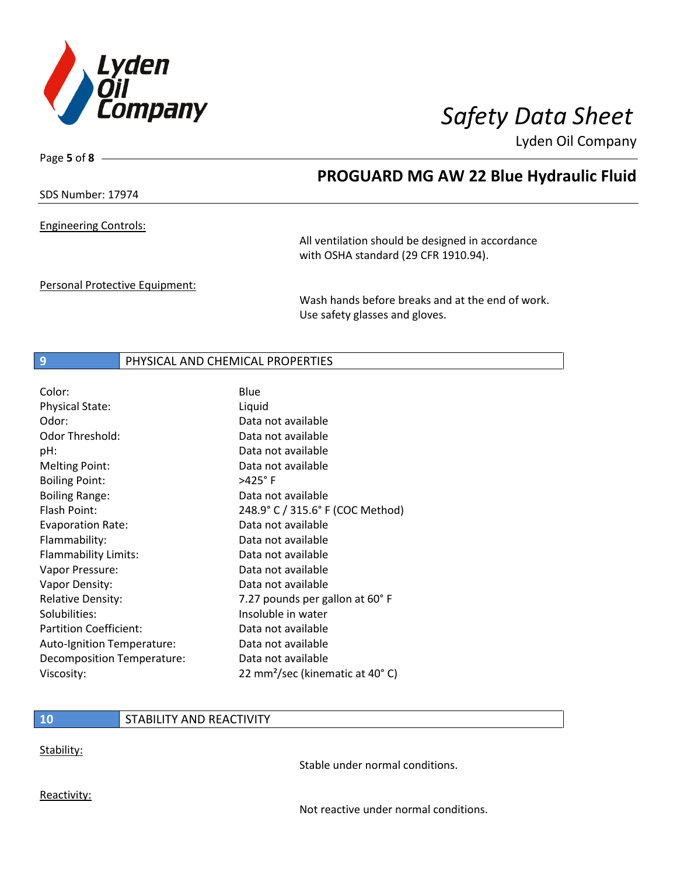

Page **5** of **8**

## **PROGUARD MG AW 22 Blue Hydraulic Fluid**

SDS Number: 17974

Engineering Controls:

All ventilation should be designed in accordance with OSHA standard (29 CFR 1910.94).

Personal Protective Equipment:

Wash hands before breaks and at the end of work. Use safety glasses and gloves.

## **9** PHYSICAL AND CHEMICAL PROPERTIES

| Color:                        | Blue                                        |
|-------------------------------|---------------------------------------------|
| <b>Physical State:</b>        | Liquid                                      |
| Odor:                         | Data not available                          |
| <b>Odor Threshold:</b>        | Data not available                          |
| pH:                           | Data not available                          |
| <b>Melting Point:</b>         | Data not available                          |
| <b>Boiling Point:</b>         | >425°F                                      |
| <b>Boiling Range:</b>         | Data not available                          |
| Flash Point:                  | 248.9° C / 315.6° F (COC Method)            |
| <b>Evaporation Rate:</b>      | Data not available                          |
| Flammability:                 | Data not available                          |
| Flammability Limits:          | Data not available                          |
| Vapor Pressure:               | Data not available                          |
| Vapor Density:                | Data not available                          |
| <b>Relative Density:</b>      | 7.27 pounds per gallon at 60°F              |
| Solubilities:                 | Insoluble in water                          |
| <b>Partition Coefficient:</b> | Data not available                          |
| Auto-Ignition Temperature:    | Data not available                          |
| Decomposition Temperature:    | Data not available                          |
| Viscosity:                    | 22 mm <sup>2</sup> /sec (kinematic at 40°C) |

## **10** STABILITY AND REACTIVITY

Stability:

Stable under normal conditions.

Reactivity:

Not reactive under normal conditions.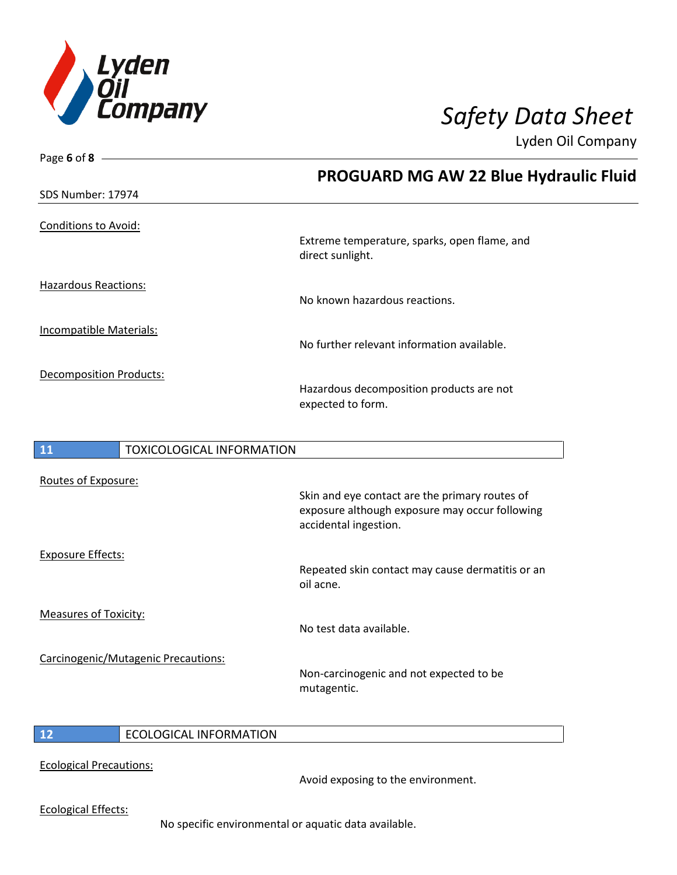

| Page 6 of 8                            |                                                                                                                           |
|----------------------------------------|---------------------------------------------------------------------------------------------------------------------------|
|                                        | <b>PROGUARD MG AW 22 Blue Hydraulic Fluid</b>                                                                             |
| SDS Number: 17974                      |                                                                                                                           |
| <b>Conditions to Avoid:</b>            | Extreme temperature, sparks, open flame, and<br>direct sunlight.                                                          |
| <b>Hazardous Reactions:</b>            | No known hazardous reactions.                                                                                             |
| <b>Incompatible Materials:</b>         | No further relevant information available.                                                                                |
| <b>Decomposition Products:</b>         | Hazardous decomposition products are not<br>expected to form.                                                             |
| 11<br><b>TOXICOLOGICAL INFORMATION</b> |                                                                                                                           |
| Routes of Exposure:                    | Skin and eye contact are the primary routes of<br>exposure although exposure may occur following<br>accidental ingestion. |
| <b>Exposure Effects:</b>               | Repeated skin contact may cause dermatitis or an<br>oil acne.                                                             |

Measures of Toxicity:

Carcinogenic/Mutagenic Precautions:

Non-carcinogenic and not expected to be mutagentic.

No test data available.

## **12** ECOLOGICAL INFORMATION

Ecological Precautions:

Avoid exposing to the environment.

Ecological Effects:

No specific environmental or aquatic data available.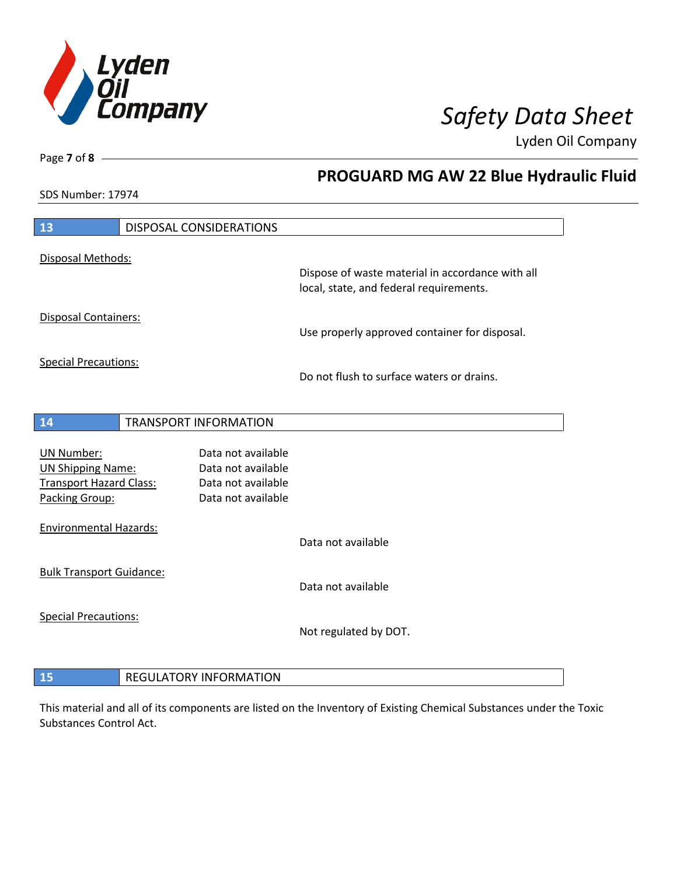

**PROGUARD MG AW 22 Blue Hydraulic Fluid**

Lyden Oil Company

SDS Number: 17974

Page **7** of **8**

| 13                                            | DISPOSAL CONSIDERATIONS                  |                                                                                             |
|-----------------------------------------------|------------------------------------------|---------------------------------------------------------------------------------------------|
| Disposal Methods:                             |                                          |                                                                                             |
|                                               |                                          | Dispose of waste material in accordance with all<br>local, state, and federal requirements. |
| <b>Disposal Containers:</b>                   |                                          | Use properly approved container for disposal.                                               |
| <b>Special Precautions:</b>                   |                                          |                                                                                             |
|                                               |                                          | Do not flush to surface waters or drains.                                                   |
| 14                                            | <b>TRANSPORT INFORMATION</b>             |                                                                                             |
|                                               |                                          |                                                                                             |
| <b>UN Number:</b><br><b>UN Shipping Name:</b> | Data not available<br>Data not available |                                                                                             |
| <b>Transport Hazard Class:</b>                | Data not available                       |                                                                                             |
| Packing Group:                                | Data not available                       |                                                                                             |
| <b>Environmental Hazards:</b>                 |                                          |                                                                                             |
|                                               |                                          | Data not available                                                                          |
| <b>Bulk Transport Guidance:</b>               |                                          | Data not available                                                                          |
| <b>Special Precautions:</b>                   |                                          |                                                                                             |
|                                               |                                          | Not regulated by DOT.                                                                       |
|                                               |                                          |                                                                                             |
| 15                                            | <b>REGULATORY INFORMATION</b>            |                                                                                             |

This material and all of its components are listed on the Inventory of Existing Chemical Substances under the Toxic Substances Control Act.